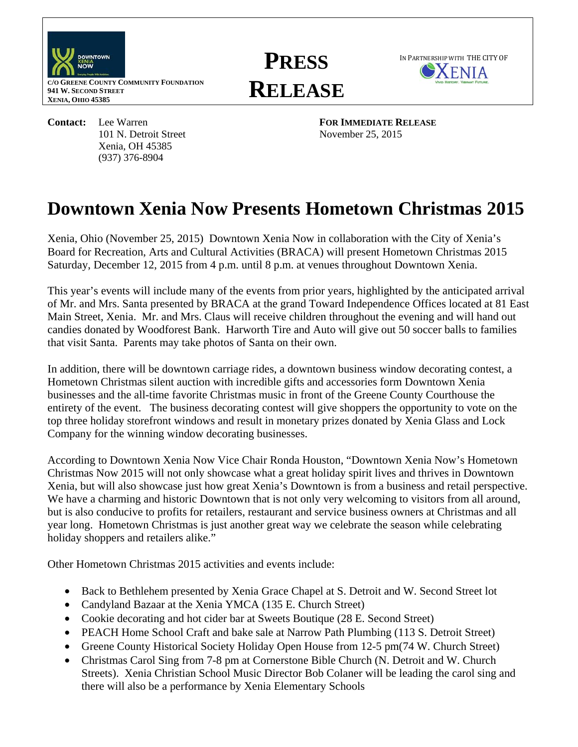

**C/O GREENE COUNTY COMMUNITY FOUNDATION 941 W. SECOND STREET XENIA, OHIO 45385** 

> Xenia, OH 45385 (937) 376-8904

**PRESS RELEASE**



**Contact:** Lee Warren **FOR IMMEDIATE RELEASE** 101 N. Detroit Street November 25, 2015

## **Downtown Xenia Now Presents Hometown Christmas 2015**

Xenia, Ohio (November 25, 2015) Downtown Xenia Now in collaboration with the City of Xenia's Board for Recreation, Arts and Cultural Activities (BRACA) will present Hometown Christmas 2015 Saturday, December 12, 2015 from 4 p.m. until 8 p.m. at venues throughout Downtown Xenia.

This year's events will include many of the events from prior years, highlighted by the anticipated arrival of Mr. and Mrs. Santa presented by BRACA at the grand Toward Independence Offices located at 81 East Main Street, Xenia. Mr. and Mrs. Claus will receive children throughout the evening and will hand out candies donated by Woodforest Bank. Harworth Tire and Auto will give out 50 soccer balls to families that visit Santa. Parents may take photos of Santa on their own.

In addition, there will be downtown carriage rides, a downtown business window decorating contest, a Hometown Christmas silent auction with incredible gifts and accessories form Downtown Xenia businesses and the all-time favorite Christmas music in front of the Greene County Courthouse the entirety of the event. The business decorating contest will give shoppers the opportunity to vote on the top three holiday storefront windows and result in monetary prizes donated by Xenia Glass and Lock Company for the winning window decorating businesses.

According to Downtown Xenia Now Vice Chair Ronda Houston, "Downtown Xenia Now's Hometown Christmas Now 2015 will not only showcase what a great holiday spirit lives and thrives in Downtown Xenia, but will also showcase just how great Xenia's Downtown is from a business and retail perspective. We have a charming and historic Downtown that is not only very welcoming to visitors from all around, but is also conducive to profits for retailers, restaurant and service business owners at Christmas and all year long. Hometown Christmas is just another great way we celebrate the season while celebrating holiday shoppers and retailers alike."

Other Hometown Christmas 2015 activities and events include:

- Back to Bethlehem presented by Xenia Grace Chapel at S. Detroit and W. Second Street lot
- Candyland Bazaar at the Xenia YMCA (135 E. Church Street)
- Cookie decorating and hot cider bar at Sweets Boutique (28 E. Second Street)
- PEACH Home School Craft and bake sale at Narrow Path Plumbing (113 S. Detroit Street)
- Greene County Historical Society Holiday Open House from 12-5 pm (74 W. Church Street)
- Christmas Carol Sing from 7-8 pm at Cornerstone Bible Church (N. Detroit and W. Church Streets). Xenia Christian School Music Director Bob Colaner will be leading the carol sing and there will also be a performance by Xenia Elementary Schools